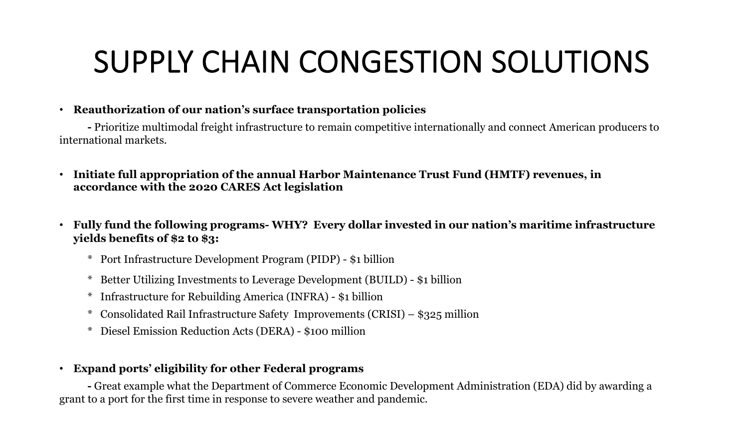# SUPPLY CHAIN CONGESTION SOLUTIONS

### • **Reauthorization of our nation's surface transportation policies**

**-** Prioritize multimodal freight infrastructure to remain competitive internationally and connect American producers to international markets.

- **Initiate full appropriation of the annual Harbor Maintenance Trust Fund (HMTF) revenues, in accordance with the 2020 CARES Act legislation**
- **Fully fund the following programs- WHY? Every dollar invested in our nation's maritime infrastructure yields benefits of \$2 to \$3:**
	- \* Port Infrastructure Development Program (PIDP) \$1 billion
	- \* Better Utilizing Investments to Leverage Development (BUILD) \$1 billion
	- \* Infrastructure for Rebuilding America (INFRA) \$1 billion
	- \* Consolidated Rail Infrastructure Safety Improvements (CRISI) \$325 million
	- \* Diesel Emission Reduction Acts (DERA) \$100 million

### • **Expand ports' eligibility for other Federal programs**

**-** Great example what the Department of Commerce Economic Development Administration (EDA) did by awarding a grant to a port for the first time in response to severe weather and pandemic.